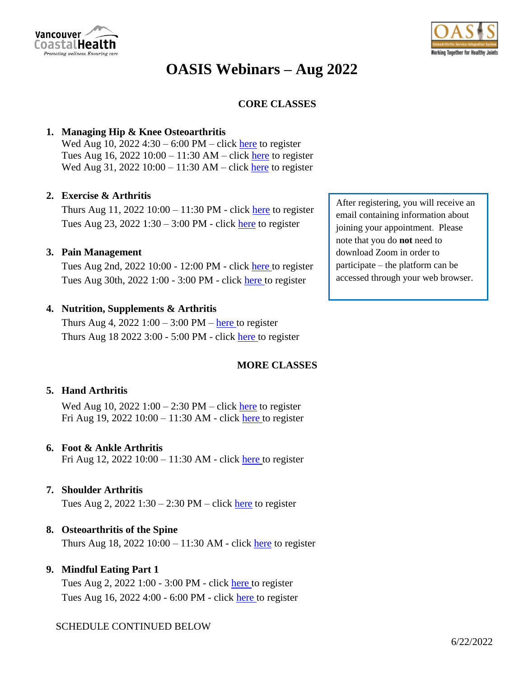



# **OASIS Webinars – Aug 2022**

# **CORE CLASSES**

# **1. Managing Hip & Knee Osteoarthritis**

Wed Aug 10, 2022 4:30 – 6:00 PM – click [here](https://vancouvercoastalhealth.zoom.us/webinar/register/WN_TifZKQ6oTRaV7K_R4jTejg) to register Tues Aug 16, 2022 10:00 – 11:30 AM – click [here](https://vancouvercoastalhealth.zoom.us/webinar/register/WN_FSJdFgv3Q6ihqX16C6lkTg) to register Wed Aug 31, 2022  $10:00 - 11:30$  AM – click [here](https://vancouvercoastalhealth.zoom.us/webinar/register/WN_TBhUmkKHR0ma2Z5gEsQQ0g) to register

### **2. Exercise & Arthritis**

Thurs Aug 11,  $2022$  10:00 – 11:30 PM - click [here](https://vancouvercoastalhealth.zoom.us/webinar/register/WN_Wb7VJrr6TB6QL91ueph4Bg) to register Tues Aug 23,  $2022 1:30 - 3:00 PM$  - click [here](https://vancouvercoastalhealth.zoom.us/webinar/register/WN_-h__dD73RnqcL-mRt-Wg1Q) to register

### **3. Pain Management**

Tues Aug 2nd, 2022 10:00 - 12:00 PM - click [here](https://vancouvercoastalhealth.zoom.us/webinar/register/WN_W25ZyWamRRqHFPUrf7IqJQ) to register Tues Aug 30th, 2022 1:00 - 3:00 PM - click [here](https://vancouvercoastalhealth.zoom.us/webinar/register/WN_NDRMcl-OToiwLQEjd1568Q) to register

# **4. Nutrition, Supplements & Arthritis**

Thurs Aug 4, 2022  $1:00 - 3:00 \text{ PM}$  – [here](https://vancouvercoastalhealth.zoom.us/webinar/register/WN_S6Mw-jGeSrWNYh7Tp23P_A) to register Thurs Aug 18 2022 3:00 - 5:00 PM - click [here](https://vancouvercoastalhealth.zoom.us/webinar/register/WN_A6I2GNYfQYyt_fevA80R6A) to register

# **MORE CLASSES**

# **5. Hand Arthritis**

Wed Aug 10,  $2022$  1:00 – 2:30 PM – click [here](https://vancouvercoastalhealth.zoom.us/webinar/register/WN_Sb-YwLt0TJ6jTJSV9tH1mw) to register Fri Aug 19, 2022  $10:00 - 11:30$  AM - click [here](https://vancouvercoastalhealth.zoom.us/webinar/register/WN_9OHaTjUCRHC06tsrwXpHdA) to register

### **6. Foot & Ankle Arthritis**

Fri Aug 12, 2022 10:00 – 11:30 AM - click [here](https://vancouvercoastalhealth.zoom.us/webinar/register/WN_PEPhBNG5SDu_QKq6ndJE-g) to register

# **7. Shoulder Arthritis**

Tues Aug 2,  $2022 1:30 - 2:30 PM - click here to register$ 

#### **8. Osteoarthritis of the Spine**

Thurs Aug 18,  $2022 10:00 - 11:30$  AM - click [here](https://vancouvercoastalhealth.zoom.us/webinar/register/WN_pPZG5R1yQAO_8C9LKpPxCg) to register

### **9. Mindful Eating Part 1**

Tues Aug 2, 2022 1:00 - 3:00 PM - click [here](https://vancouvercoastalhealth.zoom.us/meeting/register/u50kc-uhrj4oGtMmbI4ywyptNss-qdRg9Suu) to register Tues Aug 16, 2022 4:00 - 6:00 PM - click [here](https://vancouvercoastalhealth.zoom.us/meeting/register/u5cvcOyhqT8oHdV02lYi9RtKow5DctjdlsIu) to register

# SCHEDULE CONTINUED BELOW

After registering, you will receive an email containing information about joining your appointment. Please note that you do **not** need to download Zoom in order to participate – the platform can be accessed through your web browser.